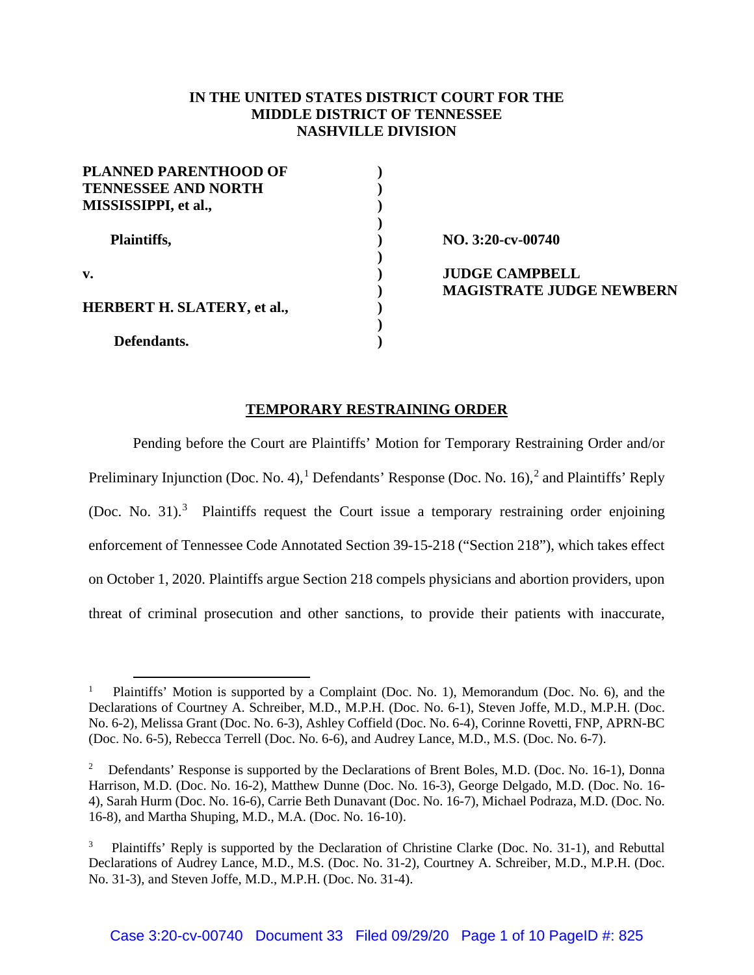## **IN THE UNITED STATES DISTRICT COURT FOR THE MIDDLE DISTRICT OF TENNESSEE NASHVILLE DIVISION**

| <b>PLANNED PARENTHOOD OF</b>       |  |
|------------------------------------|--|
| <b>TENNESSEE AND NORTH</b>         |  |
| MISSISSIPPI, et al.,               |  |
|                                    |  |
| Plaintiffs,                        |  |
|                                    |  |
| v.                                 |  |
|                                    |  |
| <b>HERBERT H. SLATERY, et al.,</b> |  |
|                                    |  |
| Defendants.                        |  |

**NO. 3:20-cv-00740 JUDGE CAMPBELL MAGISTRATE JUDGE NEWBERN**

## **TEMPORARY RESTRAINING ORDER**

Pending before the Court are Plaintiffs' Motion for Temporary Restraining Order and/or Preliminary Injunction (Doc. No. 4), <sup>1</sup> Defendants' Response (Doc. No. 16), <sup>2</sup> and Plaintiffs' Reply (Doc. No. 31).<sup>3</sup> Plaintiffs request the Court issue a temporary restraining order enjoining enforcement of Tennessee Code Annotated Section 39-15-218 ("Section 218"), which takes effect on October 1, 2020. Plaintiffs argue Section 218 compels physicians and abortion providers, upon threat of criminal prosecution and other sanctions, to provide their patients with inaccurate,

<sup>1</sup> Plaintiffs' Motion is supported by a Complaint (Doc. No. 1), Memorandum (Doc. No. 6), and the Declarations of Courtney A. Schreiber, M.D., M.P.H. (Doc. No. 6-1), Steven Joffe, M.D., M.P.H. (Doc. No. 6-2), Melissa Grant (Doc. No. 6-3), Ashley Coffield (Doc. No. 6-4), Corinne Rovetti, FNP, APRN-BC (Doc. No. 6-5), Rebecca Terrell (Doc. No. 6-6), and Audrey Lance, M.D., M.S. (Doc. No. 6-7).

<sup>2</sup> Defendants' Response is supported by the Declarations of Brent Boles, M.D. (Doc. No. 16-1), Donna Harrison, M.D. (Doc. No. 16-2), Matthew Dunne (Doc. No. 16-3), George Delgado, M.D. (Doc. No. 16- 4), Sarah Hurm (Doc. No. 16-6), Carrie Beth Dunavant (Doc. No. 16-7), Michael Podraza, M.D. (Doc. No. 16-8), and Martha Shuping, M.D., M.A. (Doc. No. 16-10).

<sup>3</sup> Plaintiffs' Reply is supported by the Declaration of Christine Clarke (Doc. No. 31-1), and Rebuttal Declarations of Audrey Lance, M.D., M.S. (Doc. No. 31-2), Courtney A. Schreiber, M.D., M.P.H. (Doc. No. 31-3), and Steven Joffe, M.D., M.P.H. (Doc. No. 31-4).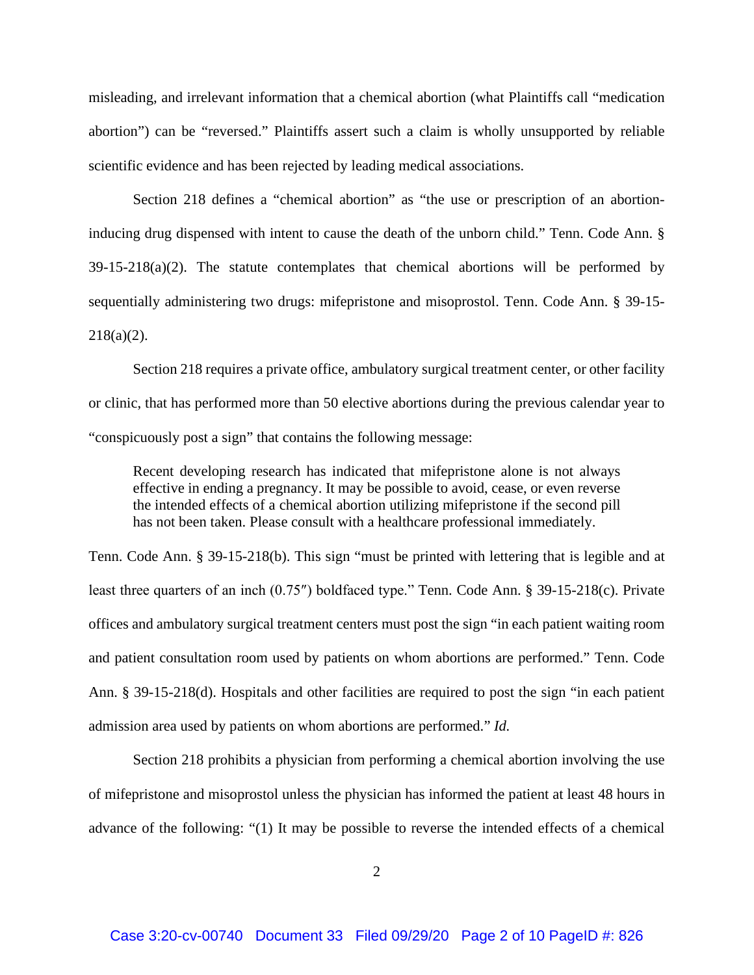misleading, and irrelevant information that a chemical abortion (what Plaintiffs call "medication abortion") can be "reversed." Plaintiffs assert such a claim is wholly unsupported by reliable scientific evidence and has been rejected by leading medical associations.

Section 218 defines a "chemical abortion" as "the use or prescription of an abortioninducing drug dispensed with intent to cause the death of the unborn child." Tenn. Code Ann. §  $39-15-218(a)(2)$ . The statute contemplates that chemical abortions will be performed by sequentially administering two drugs: mifepristone and misoprostol. Tenn. Code Ann. § 39-15-  $218(a)(2)$ .

Section 218 requires a private office, ambulatory surgical treatment center, or other facility or clinic, that has performed more than 50 elective abortions during the previous calendar year to "conspicuously post a sign" that contains the following message:

Recent developing research has indicated that mifepristone alone is not always effective in ending a pregnancy. It may be possible to avoid, cease, or even reverse the intended effects of a chemical abortion utilizing mifepristone if the second pill has not been taken. Please consult with a healthcare professional immediately.

Tenn. Code Ann. § 39-15-218(b). This sign "must be printed with lettering that is legible and at least three quarters of an inch (0.75″) boldfaced type." Tenn. Code Ann. § 39-15-218(c). Private offices and ambulatory surgical treatment centers must post the sign "in each patient waiting room and patient consultation room used by patients on whom abortions are performed." Tenn. Code Ann. § 39-15-218(d). Hospitals and other facilities are required to post the sign "in each patient admission area used by patients on whom abortions are performed." *Id.* 

Section 218 prohibits a physician from performing a chemical abortion involving the use of mifepristone and misoprostol unless the physician has informed the patient at least 48 hours in advance of the following: "(1) It may be possible to reverse the intended effects of a chemical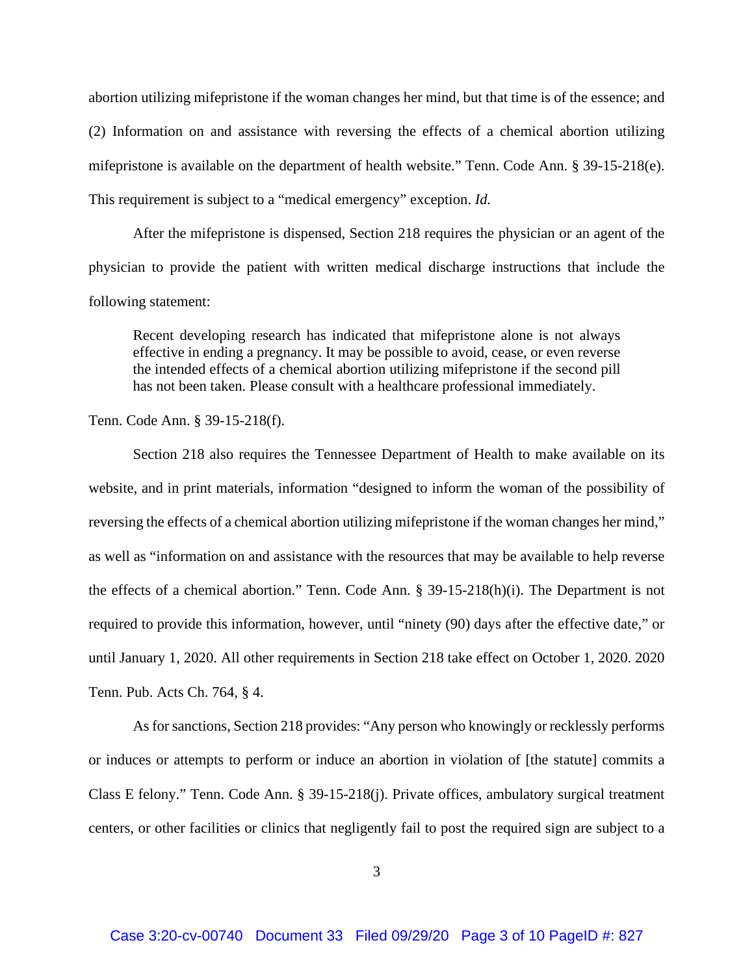abortion utilizing mifepristone if the woman changes her mind, but that time is of the essence; and (2) Information on and assistance with reversing the effects of a chemical abortion utilizing mifepristone is available on the department of health website." Tenn. Code Ann. § 39-15-218(e). This requirement is subject to a "medical emergency" exception. *Id.*

After the mifepristone is dispensed, Section 218 requires the physician or an agent of the physician to provide the patient with written medical discharge instructions that include the following statement:

Recent developing research has indicated that mifepristone alone is not always effective in ending a pregnancy. It may be possible to avoid, cease, or even reverse the intended effects of a chemical abortion utilizing mifepristone if the second pill has not been taken. Please consult with a healthcare professional immediately.

Tenn. Code Ann. § 39-15-218(f).

Section 218 also requires the Tennessee Department of Health to make available on its website, and in print materials, information "designed to inform the woman of the possibility of reversing the effects of a chemical abortion utilizing mifepristone if the woman changes her mind," as well as "information on and assistance with the resources that may be available to help reverse the effects of a chemical abortion." Tenn. Code Ann. § 39-15-218(h)(i). The Department is not required to provide this information, however, until "ninety (90) days after the effective date," or until January 1, 2020. All other requirements in Section 218 take effect on October 1, 2020. 2020 Tenn. Pub. Acts Ch. 764, § 4.

As for sanctions, Section 218 provides: "Any person who knowingly or recklessly performs or induces or attempts to perform or induce an abortion in violation of [the statute] commits a Class E felony." Tenn. Code Ann. § 39-15-218(j). Private offices, ambulatory surgical treatment centers, or other facilities or clinics that negligently fail to post the required sign are subject to a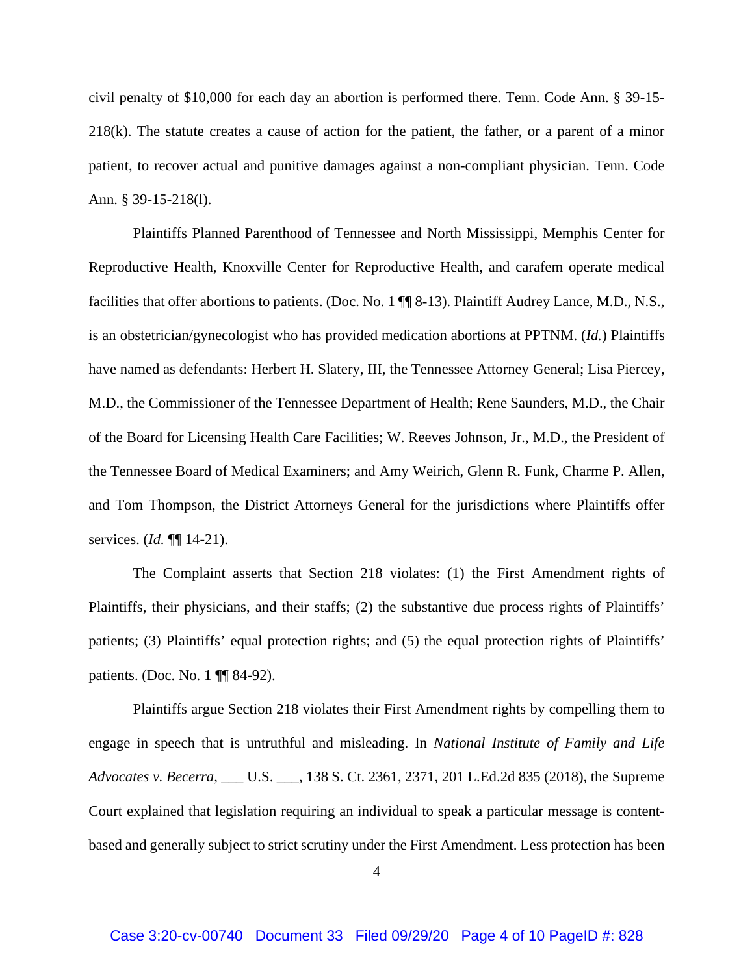civil penalty of \$10,000 for each day an abortion is performed there. Tenn. Code Ann. § 39-15- 218(k). The statute creates a cause of action for the patient, the father, or a parent of a minor patient, to recover actual and punitive damages against a non-compliant physician. Tenn. Code Ann. § 39-15-218(l).

Plaintiffs Planned Parenthood of Tennessee and North Mississippi, Memphis Center for Reproductive Health, Knoxville Center for Reproductive Health, and carafem operate medical facilities that offer abortions to patients. (Doc. No. 1 ¶¶ 8-13). Plaintiff Audrey Lance, M.D., N.S., is an obstetrician/gynecologist who has provided medication abortions at PPTNM. (*Id.*) Plaintiffs have named as defendants: Herbert H. Slatery, III, the Tennessee Attorney General; Lisa Piercey, M.D., the Commissioner of the Tennessee Department of Health; Rene Saunders, M.D., the Chair of the Board for Licensing Health Care Facilities; W. Reeves Johnson, Jr., M.D., the President of the Tennessee Board of Medical Examiners; and Amy Weirich, Glenn R. Funk, Charme P. Allen, and Tom Thompson, the District Attorneys General for the jurisdictions where Plaintiffs offer services. (*Id.* ¶¶ 14-21).

The Complaint asserts that Section 218 violates: (1) the First Amendment rights of Plaintiffs, their physicians, and their staffs; (2) the substantive due process rights of Plaintiffs' patients; (3) Plaintiffs' equal protection rights; and (5) the equal protection rights of Plaintiffs' patients. (Doc. No. 1 ¶¶ 84-92).

Plaintiffs argue Section 218 violates their First Amendment rights by compelling them to engage in speech that is untruthful and misleading. In *National Institute of Family and Life Advocates v. Becerra,* \_\_\_ U.S. \_\_\_, 138 S. Ct. 2361, 2371, 201 L.Ed.2d 835 (2018), the Supreme Court explained that legislation requiring an individual to speak a particular message is contentbased and generally subject to strict scrutiny under the First Amendment. Less protection has been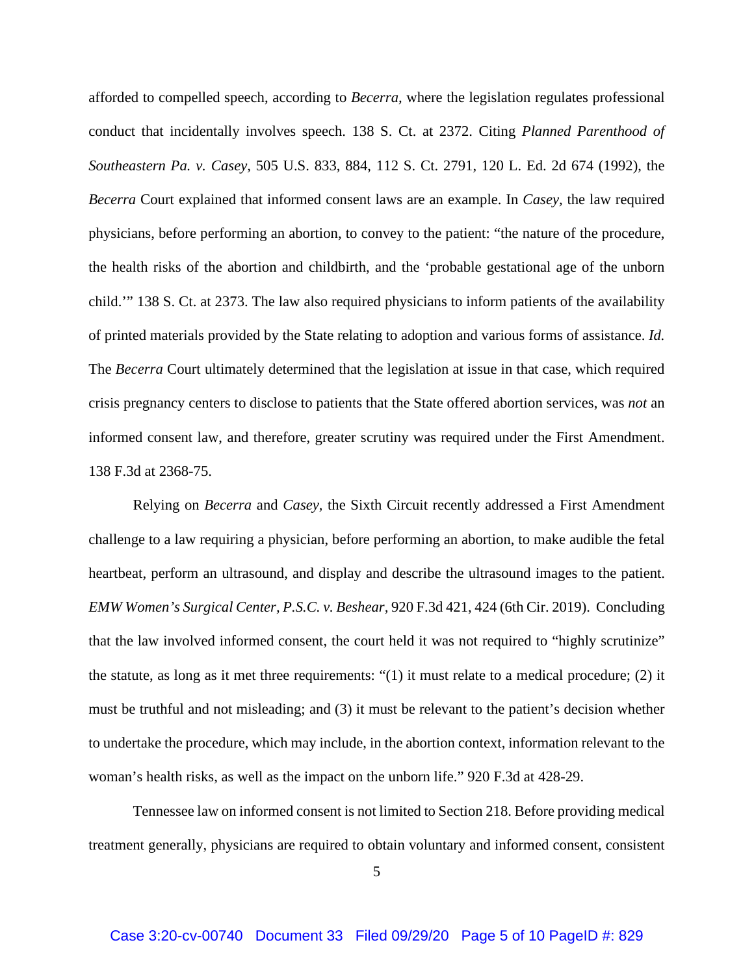afforded to compelled speech, according to *Becerra,* where the legislation regulates professional conduct that incidentally involves speech. 138 S. Ct. at 2372. Citing *Planned Parenthood of Southeastern Pa. v. Casey,* 505 U.S. 833, 884, 112 S. Ct. 2791, 120 L. Ed. 2d 674 (1992), the *Becerra* Court explained that informed consent laws are an example. In *Casey,* the law required physicians, before performing an abortion, to convey to the patient: "the nature of the procedure, the health risks of the abortion and childbirth, and the 'probable gestational age of the unborn child.'" 138 S. Ct. at 2373. The law also required physicians to inform patients of the availability of printed materials provided by the State relating to adoption and various forms of assistance. *Id.*  The *Becerra* Court ultimately determined that the legislation at issue in that case, which required crisis pregnancy centers to disclose to patients that the State offered abortion services, was *not* an informed consent law, and therefore, greater scrutiny was required under the First Amendment. 138 F.3d at 2368-75.

Relying on *Becerra* and *Casey,* the Sixth Circuit recently addressed a First Amendment challenge to a law requiring a physician, before performing an abortion, to make audible the fetal heartbeat, perform an ultrasound, and display and describe the ultrasound images to the patient. *EMW Women's Surgical Center, P.S.C. v. Beshear,* 920 F.3d 421, 424 (6th Cir. 2019). Concluding that the law involved informed consent, the court held it was not required to "highly scrutinize" the statute, as long as it met three requirements: "(1) it must relate to a medical procedure; (2) it must be truthful and not misleading; and (3) it must be relevant to the patient's decision whether to undertake the procedure, which may include, in the abortion context, information relevant to the woman's health risks, as well as the impact on the unborn life." 920 F.3d at 428-29.

Tennessee law on informed consent is not limited to Section 218. Before providing medical treatment generally, physicians are required to obtain voluntary and informed consent, consistent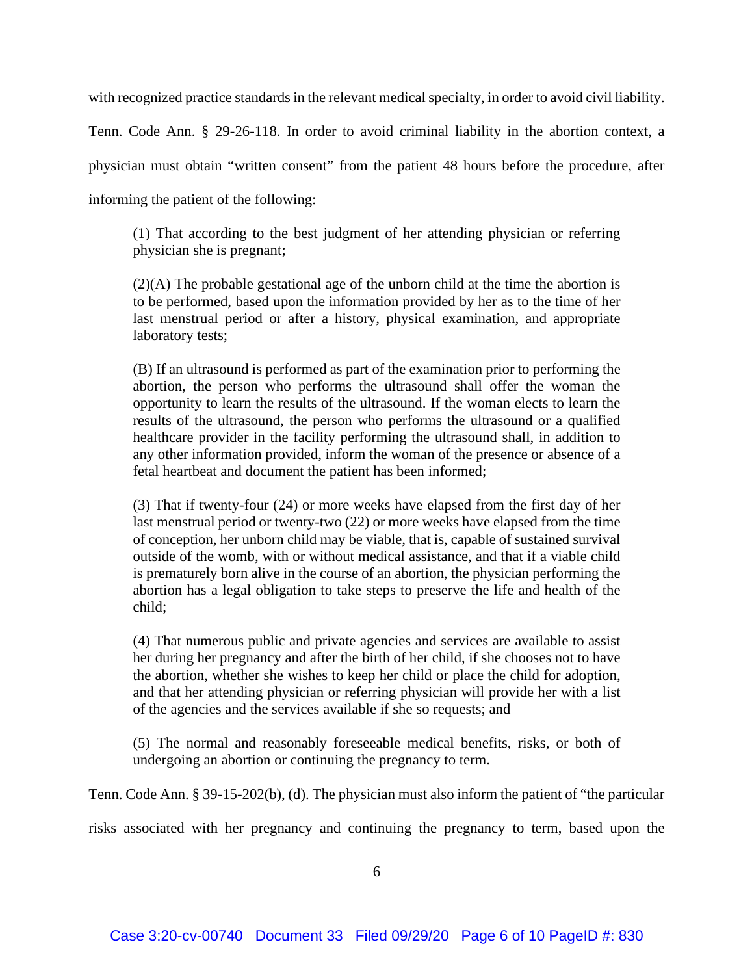with recognized practice standards in the relevant medical specialty, in order to avoid civil liability.

Tenn. Code Ann. § 29-26-118. In order to avoid criminal liability in the abortion context, a physician must obtain "written consent" from the patient 48 hours before the procedure, after informing the patient of the following:

(1) That according to the best judgment of her attending physician or referring physician she is pregnant;

(2)(A) The probable gestational age of the unborn child at the time the abortion is to be performed, based upon the information provided by her as to the time of her last menstrual period or after a history, physical examination, and appropriate laboratory tests;

(B) If an ultrasound is performed as part of the examination prior to performing the abortion, the person who performs the ultrasound shall offer the woman the opportunity to learn the results of the ultrasound. If the woman elects to learn the results of the ultrasound, the person who performs the ultrasound or a qualified healthcare provider in the facility performing the ultrasound shall, in addition to any other information provided, inform the woman of the presence or absence of a fetal heartbeat and document the patient has been informed;

(3) That if twenty-four (24) or more weeks have elapsed from the first day of her last menstrual period or twenty-two (22) or more weeks have elapsed from the time of conception, her unborn child may be viable, that is, capable of sustained survival outside of the womb, with or without medical assistance, and that if a viable child is prematurely born alive in the course of an abortion, the physician performing the abortion has a legal obligation to take steps to preserve the life and health of the child;

(4) That numerous public and private agencies and services are available to assist her during her pregnancy and after the birth of her child, if she chooses not to have the abortion, whether she wishes to keep her child or place the child for adoption, and that her attending physician or referring physician will provide her with a list of the agencies and the services available if she so requests; and

(5) The normal and reasonably foreseeable medical benefits, risks, or both of undergoing an abortion or continuing the pregnancy to term.

Tenn. Code Ann. § 39-15-202(b), (d). The physician must also inform the patient of "the particular

risks associated with her pregnancy and continuing the pregnancy to term, based upon the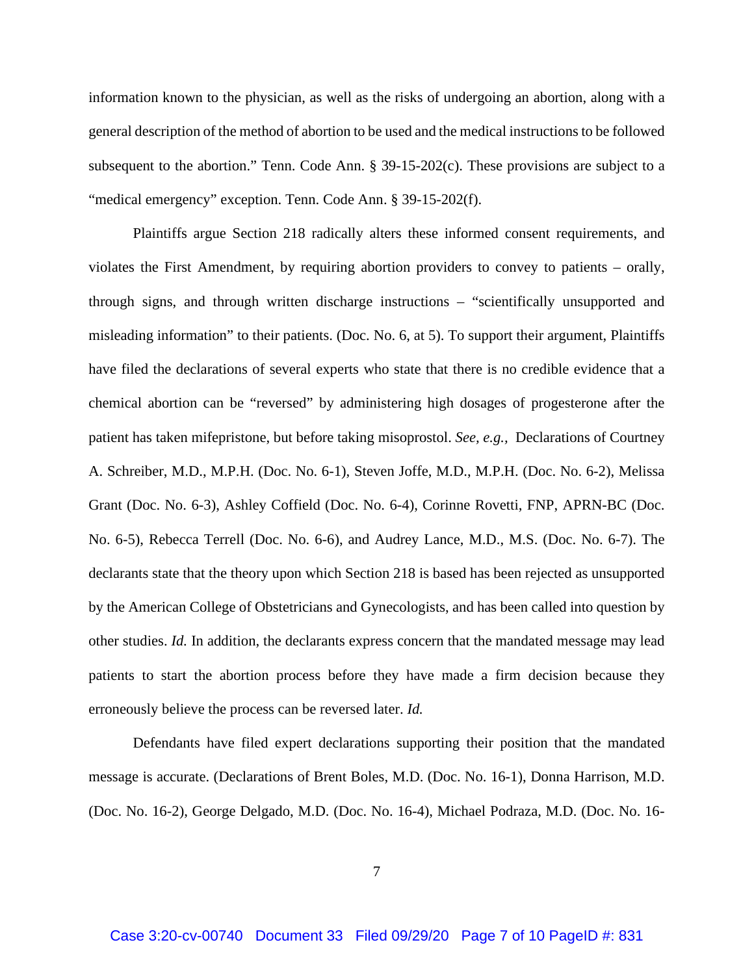information known to the physician, as well as the risks of undergoing an abortion, along with a general description of the method of abortion to be used and the medical instructions to be followed subsequent to the abortion." Tenn. Code Ann. § 39-15-202(c). These provisions are subject to a "medical emergency" exception. Tenn. Code Ann. § 39-15-202(f).

Plaintiffs argue Section 218 radically alters these informed consent requirements, and violates the First Amendment, by requiring abortion providers to convey to patients – orally, through signs, and through written discharge instructions – "scientifically unsupported and misleading information" to their patients. (Doc. No. 6, at 5). To support their argument, Plaintiffs have filed the declarations of several experts who state that there is no credible evidence that a chemical abortion can be "reversed" by administering high dosages of progesterone after the patient has taken mifepristone, but before taking misoprostol. *See, e.g.,* Declarations of Courtney A. Schreiber, M.D., M.P.H. (Doc. No. 6-1), Steven Joffe, M.D., M.P.H. (Doc. No. 6-2), Melissa Grant (Doc. No. 6-3), Ashley Coffield (Doc. No. 6-4), Corinne Rovetti, FNP, APRN-BC (Doc. No. 6-5), Rebecca Terrell (Doc. No. 6-6), and Audrey Lance, M.D., M.S. (Doc. No. 6-7). The declarants state that the theory upon which Section 218 is based has been rejected as unsupported by the American College of Obstetricians and Gynecologists, and has been called into question by other studies. *Id.* In addition, the declarants express concern that the mandated message may lead patients to start the abortion process before they have made a firm decision because they erroneously believe the process can be reversed later. *Id.* 

Defendants have filed expert declarations supporting their position that the mandated message is accurate. (Declarations of Brent Boles, M.D. (Doc. No. 16-1), Donna Harrison, M.D. (Doc. No. 16-2), George Delgado, M.D. (Doc. No. 16-4), Michael Podraza, M.D. (Doc. No. 16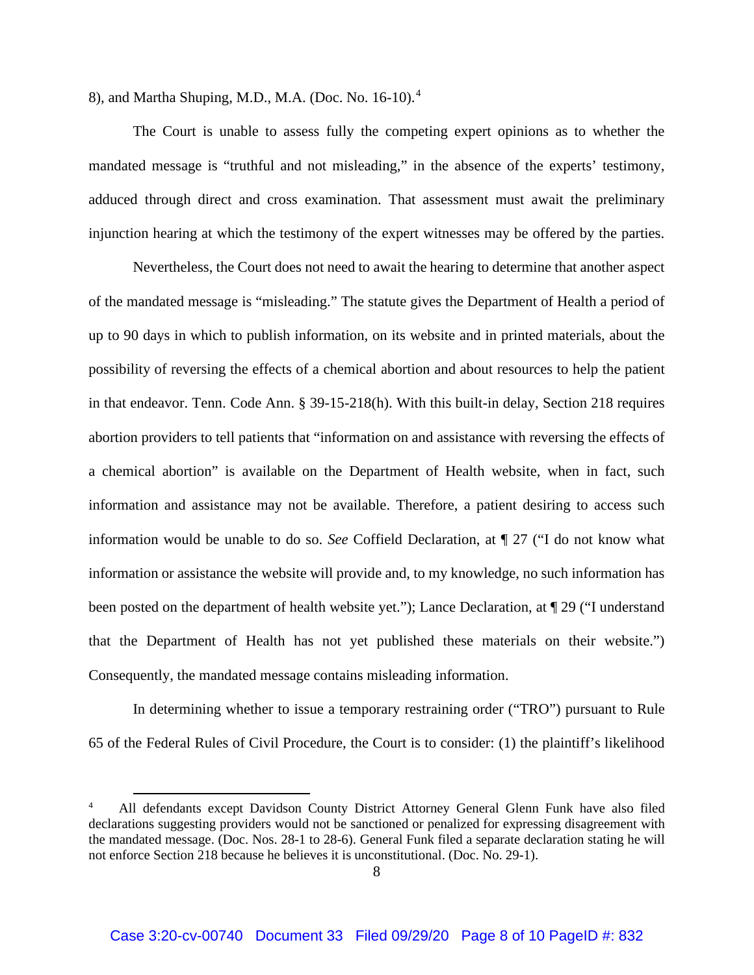8), and Martha Shuping, M.D., M.A. (Doc. No. 16-10).<sup>4</sup>

The Court is unable to assess fully the competing expert opinions as to whether the mandated message is "truthful and not misleading," in the absence of the experts' testimony, adduced through direct and cross examination. That assessment must await the preliminary injunction hearing at which the testimony of the expert witnesses may be offered by the parties.

Nevertheless, the Court does not need to await the hearing to determine that another aspect of the mandated message is "misleading." The statute gives the Department of Health a period of up to 90 days in which to publish information, on its website and in printed materials, about the possibility of reversing the effects of a chemical abortion and about resources to help the patient in that endeavor. Tenn. Code Ann. § 39-15-218(h). With this built-in delay, Section 218 requires abortion providers to tell patients that "information on and assistance with reversing the effects of a chemical abortion" is available on the Department of Health website, when in fact, such information and assistance may not be available. Therefore, a patient desiring to access such information would be unable to do so. *See* Coffield Declaration, at ¶ 27 ("I do not know what information or assistance the website will provide and, to my knowledge, no such information has been posted on the department of health website yet."); Lance Declaration, at ¶ 29 ("I understand that the Department of Health has not yet published these materials on their website.") Consequently, the mandated message contains misleading information.

In determining whether to issue a temporary restraining order ("TRO") pursuant to Rule 65 of the Federal Rules of Civil Procedure, the Court is to consider: (1) the plaintiff's likelihood

<sup>4</sup> All defendants except Davidson County District Attorney General Glenn Funk have also filed declarations suggesting providers would not be sanctioned or penalized for expressing disagreement with the mandated message. (Doc. Nos. 28-1 to 28-6). General Funk filed a separate declaration stating he will not enforce Section 218 because he believes it is unconstitutional. (Doc. No. 29-1).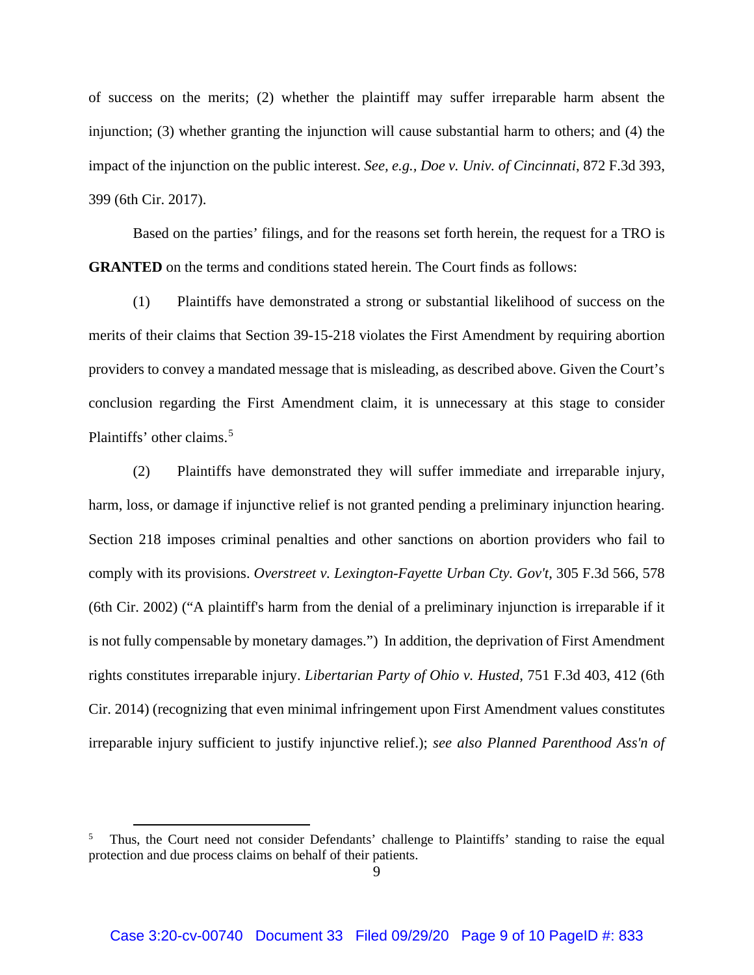of success on the merits; (2) whether the plaintiff may suffer irreparable harm absent the injunction; (3) whether granting the injunction will cause substantial harm to others; and (4) the impact of the injunction on the public interest. *See, e.g., Doe v. Univ. of Cincinnati*, 872 F.3d 393, 399 (6th Cir. 2017).

 Based on the parties' filings, and for the reasons set forth herein, the request for a TRO is **GRANTED** on the terms and conditions stated herein. The Court finds as follows:

(1) Plaintiffs have demonstrated a strong or substantial likelihood of success on the merits of their claims that Section 39-15-218 violates the First Amendment by requiring abortion providers to convey a mandated message that is misleading, as described above. Given the Court's conclusion regarding the First Amendment claim, it is unnecessary at this stage to consider Plaintiffs' other claims.<sup>5</sup>

(2) Plaintiffs have demonstrated they will suffer immediate and irreparable injury, harm, loss, or damage if injunctive relief is not granted pending a preliminary injunction hearing. Section 218 imposes criminal penalties and other sanctions on abortion providers who fail to comply with its provisions. *Overstreet v. Lexington-Fayette Urban Cty. Gov't*, 305 F.3d 566, 578 (6th Cir. 2002) ("A plaintiff's harm from the denial of a preliminary injunction is irreparable if it is not fully compensable by monetary damages.") In addition, the deprivation of First Amendment rights constitutes irreparable injury. *Libertarian Party of Ohio v. Husted*, 751 F.3d 403, 412 (6th Cir. 2014) (recognizing that even minimal infringement upon First Amendment values constitutes irreparable injury sufficient to justify injunctive relief.); *see also Planned Parenthood Ass'n of* 

<sup>5</sup> Thus, the Court need not consider Defendants' challenge to Plaintiffs' standing to raise the equal protection and due process claims on behalf of their patients.